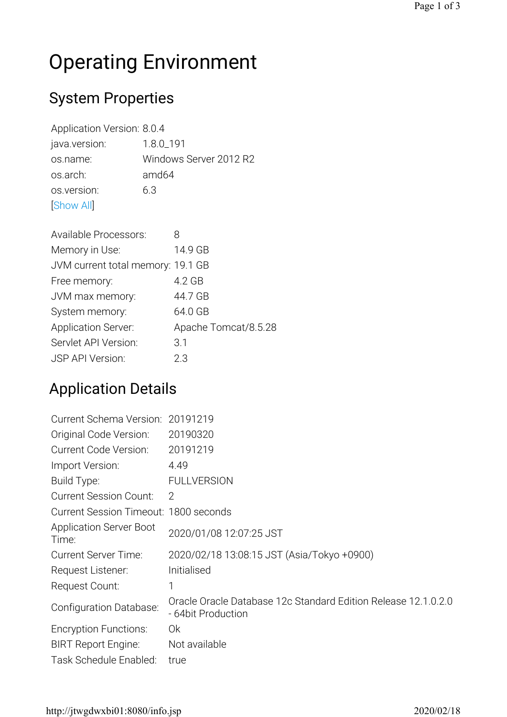# Operating Environment

#### System Properties

Application Version: 8.0.4 java.version: 1.8.0\_191 os.name: Windows Server 2012 R2 os.arch: amd64 os.version: 6.3 [Show All]

| <b>Available Processors:</b>      |                      |
|-----------------------------------|----------------------|
| Memory in Use:                    | 14.9 GB              |
| JVM current total memory: 19.1 GB |                      |
| Free memory:                      | 4.2 GB               |
| JVM max memory:                   | 44.7 GB              |
| System memory:                    | 64.0 GB              |
| <b>Application Server:</b>        | Apache Tomcat/8.5.28 |
| Servlet API Version:              | 3.1                  |
| <b>JSP API Version:</b>           | 2.3                  |

# Application Details

| Current Schema Version: 20191219        |                                                                                      |
|-----------------------------------------|--------------------------------------------------------------------------------------|
| Original Code Version:                  | 20190320                                                                             |
| <b>Current Code Version:</b>            | 20191219                                                                             |
| Import Version:                         | 4.49                                                                                 |
| Build Type:                             | <b>FULLVERSION</b>                                                                   |
| <b>Current Session Count:</b>           | $\overline{2}$                                                                       |
| Current Session Timeout: 1800 seconds   |                                                                                      |
| <b>Application Server Boot</b><br>Time: | 2020/01/08 12:07:25 JST                                                              |
| <b>Current Server Time:</b>             | 2020/02/18 13:08:15 JST (Asia/Tokyo +0900)                                           |
| Request Listener:                       | Initialised                                                                          |
| Request Count:                          | 1                                                                                    |
| Configuration Database:                 | Oracle Oracle Database 12c Standard Edition Release 12.1.0.2.0<br>- 64bit Production |
| <b>Encryption Functions:</b>            | 0k                                                                                   |
| <b>BIRT Report Engine:</b>              | Not available                                                                        |
| Task Schedule Enabled:                  | true                                                                                 |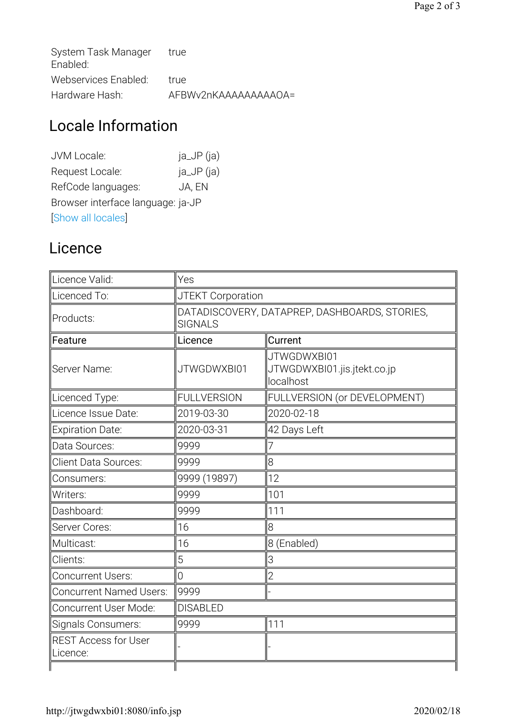| System Task Manager<br>Enabled: | true                  |
|---------------------------------|-----------------------|
| Webservices Enabled:            | true                  |
| Hardware Hash:                  | AFBWy2nKAAAAAAAAAAOA= |

# Locale Information

| JVM Locale:                       | $ja$ $JP$ $(ia)$ |  |
|-----------------------------------|------------------|--|
| Request Locale:                   | $ja$ $JP$ $(ia)$ |  |
| RefCode languages:                | JA, EN           |  |
| Browser interface language: ja-JP |                  |  |
| Show all locales                  |                  |  |

#### Licence

| Licence Valid:                          | Yes                                                             |                                                         |  |
|-----------------------------------------|-----------------------------------------------------------------|---------------------------------------------------------|--|
| Licenced To:                            | JTEKT Corporation                                               |                                                         |  |
| Products:                               | DATADISCOVERY, DATAPREP, DASHBOARDS, STORIES,<br><b>SIGNALS</b> |                                                         |  |
| Feature                                 | Licence                                                         | Current                                                 |  |
| Server Name:                            | JTWGDWXBI01                                                     | JTWGDWXBI01<br>JTWGDWXBI01.jis.jtekt.co.jp<br>localhost |  |
| Licenced Type:                          | <b>FULLVERSION</b>                                              | FULLVERSION (or DEVELOPMENT)                            |  |
| Licence Issue Date:                     | 2019-03-30                                                      | 2020-02-18                                              |  |
| <b>Expiration Date:</b>                 | 2020-03-31                                                      | 42 Days Left                                            |  |
| Data Sources:                           | 9999                                                            | 7                                                       |  |
| Client Data Sources:                    | 9999                                                            | 8                                                       |  |
| Consumers:                              | 9999 (19897)                                                    | 12                                                      |  |
| Writers:                                | 9999                                                            | 101                                                     |  |
| Dashboard:                              | 9999                                                            | 111                                                     |  |
| Server Cores:                           | 16                                                              | 8                                                       |  |
| Multicast:                              | 16                                                              | 8 (Enabled)                                             |  |
| Clients:                                | 5                                                               | 3                                                       |  |
| <b>Concurrent Users:</b>                | $\overline{0}$                                                  | $\overline{2}$                                          |  |
| <b>Concurrent Named Users:</b>          | 9999                                                            |                                                         |  |
| Concurrent User Mode:                   | <b>DISABLED</b>                                                 |                                                         |  |
| Signals Consumers:                      | 9999                                                            | 111                                                     |  |
| <b>REST Access for User</b><br>Licence: |                                                                 |                                                         |  |
|                                         |                                                                 |                                                         |  |